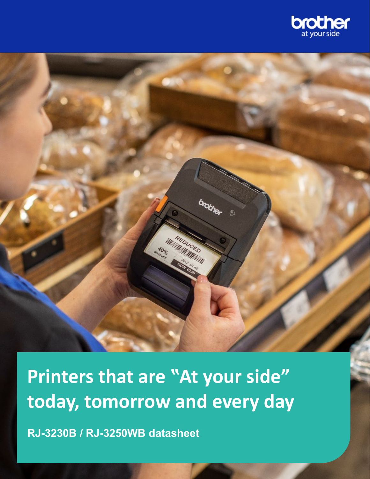

**IWITHEDUCK** EDUCED

brother

**Printers that are "At your side" today, tomorrow and every day**

**RJ-3230B / RJ-3250WB datasheet**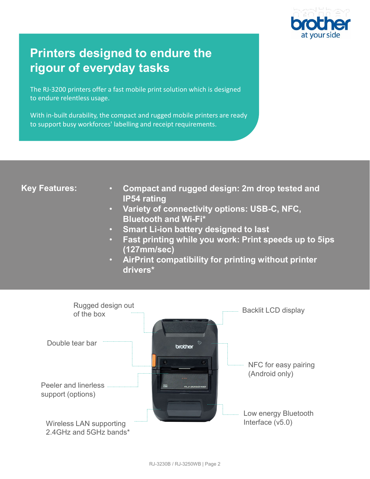

# **Printers designed to endure the rigour of everyday tasks**

The RJ-3200 printers offer a fast mobile print solution which is designed to endure relentless usage.

With in-built durability, the compact and rugged mobile printers are ready to support busy workforces' labelling and receipt requirements.

## **Key Features:**

- **Compact and rugged design: 2m drop tested and IP54 rating**
- **Variety of connectivity options: USB-C, NFC, Bluetooth and Wi-Fi\***
- **Smart Li-ion battery designed to last**
- **Fast printing while you work: Print speeds up to 5ips (127mm/sec)**
- **AirPrint compatibility for printing without printer drivers\***

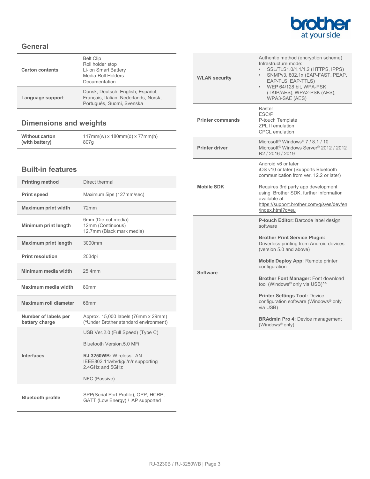

## **General**

| Language support       | Dansk, Deutsch, English, Español,<br>Français, Italian, Nederlands, Norsk,<br>Português, Suomi, Svenska |
|------------------------|---------------------------------------------------------------------------------------------------------|
| <b>Carton contents</b> | <b>Belt Clip</b><br>Roll holder stop<br>Li-ion Smart Battery<br>Media Roll Holders<br>Documentation     |

# **Dimensions and weights**

| <b>Without carton</b> | $117mm(w)$ x $180mm(d)$ x $77mm(h)$ |
|-----------------------|-------------------------------------|
| (with battery)        | 807a                                |

### **Built-in features**

| <b>Printing method</b>                 | Direct thermal                                                                   |
|----------------------------------------|----------------------------------------------------------------------------------|
| <b>Print speed</b>                     | Maximum 5ips (127mm/sec)                                                         |
| <b>Maximum print width</b>             | 72mm                                                                             |
| Minimum print length                   | 6mm (Die-cut media)<br>12mm (Continuous)<br>12.7mm (Black mark media)            |
| <b>Maximum print length</b>            | 3000mm                                                                           |
| <b>Print resolution</b>                | 203dpi                                                                           |
| Minimum media width                    | 25 4mm                                                                           |
| Maximum media width                    | 80 <sub>mm</sub>                                                                 |
|                                        |                                                                                  |
| Maximum roll diameter                  | 66 <sub>mm</sub>                                                                 |
| Number of labels per<br>battery charge | Approx. 15,000 labels (76mm x 29mm)<br>("Under Brother standard environment)     |
|                                        | USB Ver.2.0 (Full Speed) (Type C)                                                |
|                                        | Bluetooth Version 5.0 MFi                                                        |
| Interfaces                             | RJ 3250WB: Wireless LAN<br>IEEE802.11a/b/d/g/i/n/r supporting<br>2.4GHz and 5GHz |
|                                        | NFC (Passive)                                                                    |

| <b>WLAN security</b>    | Authentic method (encryption scheme)<br>Infrastructure mode:<br>SSL/TLS1.0/1.1/1.2 (HTTPS, IPPS)<br>SNMPv3, 802.1x (EAP-FAST, PEAP,<br>EAP-TLS, EAP-TTLS)<br>WEP 64/128 bit, WPA-PSK<br>$\bullet$<br>(TKIP/AES), WPA2-PSK (AES),<br>WPA3-SAE (AES) |
|-------------------------|----------------------------------------------------------------------------------------------------------------------------------------------------------------------------------------------------------------------------------------------------|
| <b>Printer commands</b> | Raster<br>ESC/P<br>P-touch Template<br><b>ZPL II emulation</b><br><b>CPCL</b> emulation                                                                                                                                                            |
| <b>Printer driver</b>   | Microsoft <sup>®</sup> Windows <sup>®</sup> $7/81/10$<br>Microsoft <sup>®</sup> Windows Server <sup>®</sup> 2012 / 2012<br>R2 / 2016 / 2019                                                                                                        |
| Mobile SDK              | Android v6 or later<br>iOS v10 or later (Supports Bluetooth<br>communication from ver. 12.2 or later)<br>Requires 3rd party app development<br>using Brother SDK, further information<br>available at:                                             |
|                         | https://support.brother.com/g/s/es/dev/en<br>/index.html?c=eu                                                                                                                                                                                      |
| Software                | P-touch Editor: Barcode label design<br>software<br><b>Brother Print Service Plugin:</b><br>Driverless printing from Android devices<br>(version 5.0 and above)                                                                                    |
|                         | Mobile Deploy App: Remote printer<br>configuration<br><b>Brother Font Manager: Font download</b><br>tool (Windows® only via USB)^^                                                                                                                 |
|                         | <b>Printer Settings Tool: Device</b><br>configuration software (Windows® only<br>via USB)                                                                                                                                                          |
|                         | <b>BRAdmin Pro 4: Device management</b><br>(Windows® only)                                                                                                                                                                                         |